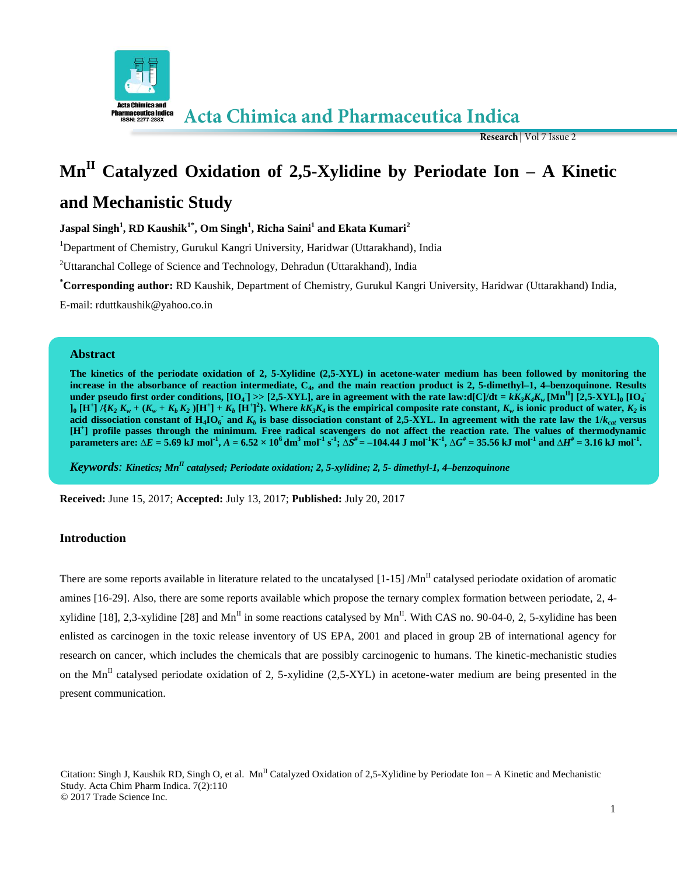

Research | Vol 7 Issue 2

# **Mn**<sup>II</sup> Catalyzed Oxidation of 2,5-Xylidine by Periodate Ion – A Kinetic

# **and Mechanistic Study**

**Jaspal Singh<sup>1</sup> , RD Kaushik1\* , Om Singh<sup>1</sup> , Richa Saini<sup>1</sup> and Ekata Kumari<sup>2</sup>**

<sup>1</sup>Department of Chemistry, Gurukul Kangri University, Haridwar (Uttarakhand), India

<sup>2</sup>Uttaranchal College of Science and Technology, Dehradun (Uttarakhand), India

**\*Corresponding author:** RD Kaushik, Department of Chemistry, Gurukul Kangri University, Haridwar (Uttarakhand) India,

E-mail: rduttkaushik@yahoo.co.in

# **Abstract**

**The kinetics of the periodate oxidation of 2, 5-Xylidine (2,5-XYL) in acetone-water medium has been followed by monitoring the increase in the absorbance of reaction intermediate, C<sup>4</sup> , and the main reaction product is 2, 5-dimethyl–1, 4–benzoquinone. Results**  under pseudo first order conditions, [IO<sub>4</sub>] >> [2,5-XYL], are in agreement with the rate law:d[C]/dt =  $kK_3K_4K_w$  [Mn<sup>II</sup>] [2,5-XYL]<sub>0</sub> [IO<sub>4</sub>]  $J_0[H^+]^7$  $(K_2 K_w + (K_w + K_b K_2)[H^+] + K_b[H^+]^2$ . Where  $kK_3K_4$  is the empirical composite rate constant,  $K_w$  is ionic product of water,  $K_2$  is acid dissociation constant of  $H_4$ **IO**<sup> $\cdot$ </sup> and  $K_b$  is base dissociation constant of 2,5-XYL. In agreement with the rate law the 1/ $k_{cat}$  versus **[H<sup>+</sup> ] profile passes through the minimum. Free radical scavengers do not affect the reaction rate. The values of thermodynamic**  parameters are:  $\Delta E = 5.69$  kJ mol<sup>-1</sup>,  $A = 6.52 \times 10^6$  dm<sup>3</sup> mol<sup>-1</sup> s<sup>-1</sup>;  $\Delta S^{\#} = -104.44$  J mol<sup>-1</sup>K<sup>-1</sup>,  $\Delta G^{\#} = 35.56$  kJ mol<sup>-1</sup> and  $\Delta H^{\#} = 3.16$  kJ mol<sup>-1</sup>.

*Keywords: Kinetics; MnII catalysed; Periodate oxidation; 2, 5-xylidine; 2, 5- dimethyl-1, 4–benzoquinone*

**Received:** June 15, 2017; **Accepted:** July 13, 2017; **Published:** July 20, 2017

# **Introduction**

There are some reports available in literature related to the uncatalysed  $[1-15]$  /Mn<sup>II</sup> catalysed periodate oxidation of aromatic amines [16-29]. Also, there are some reports available which propose the ternary complex formation between periodate, 2, 4 xylidine [18], 2,3-xylidine [28] and  $Mn^{\text{II}}$  in some reactions catalysed by  $Mn^{\text{II}}$ . With CAS no. 90-04-0, 2, 5-xylidine has been enlisted as carcinogen in the toxic release inventory of US EPA, 2001 and placed in group 2B of international agency for research on cancer, which includes the chemicals that are possibly carcinogenic to humans. The kinetic-mechanistic studies on the Mn<sup>II</sup> catalysed periodate oxidation of 2, 5-xylidine (2,5-XYL) in acetone-water medium are being presented in the present communication.

Citation: Singh J, Kaushik RD, Singh O, et al. Mn<sup>II</sup> Catalyzed Oxidation of 2,5-Xylidine by Periodate Ion – A Kinetic and Mechanistic Study. Acta Chim Pharm Indica. 7(2):110 © 2017 Trade Science Inc.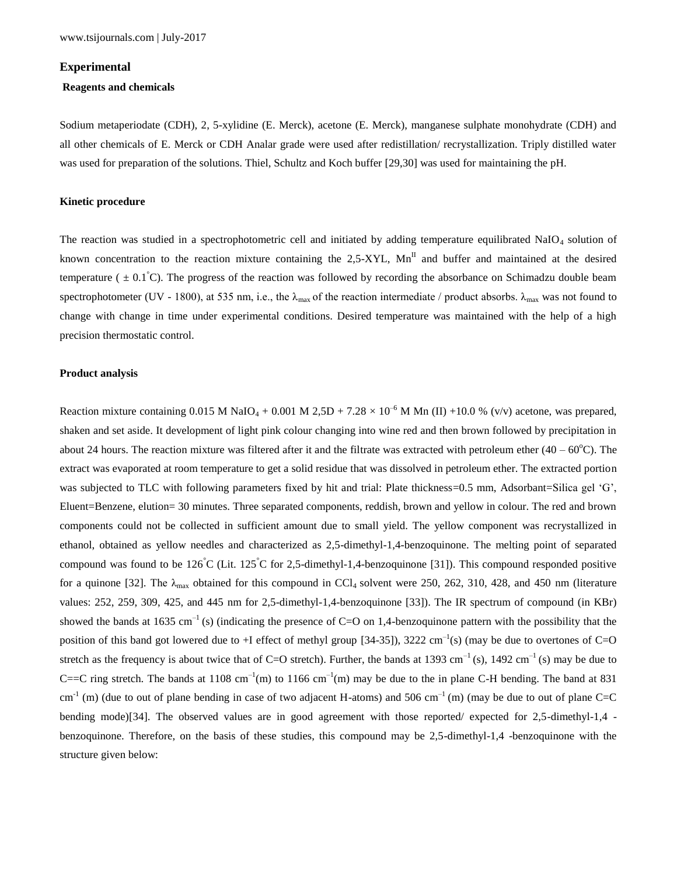#### **Experimental**

#### **Reagents and chemicals**

Sodium metaperiodate (CDH), 2, 5-xylidine (E. Merck), acetone (E. Merck), manganese sulphate monohydrate (CDH) and all other chemicals of E. Merck or CDH Analar grade were used after redistillation/ recrystallization. Triply distilled water was used for preparation of the solutions. Thiel, Schultz and Koch buffer [29,30] was used for maintaining the pH.

#### **Kinetic procedure**

The reaction was studied in a spectrophotometric cell and initiated by adding temperature equilibrated NaIO $_4$  solution of known concentration to the reaction mixture containing the  $2.5-XYL$ ,  $Mn<sup>H</sup>$  and buffer and maintained at the desired temperature ( $\pm$  0.1<sup>°</sup>C). The progress of the reaction was followed by recording the absorbance on Schimadzu double beam spectrophotometer (UV - 1800), at 535 nm, i.e., the  $\lambda_{\text{max}}$  of the reaction intermediate / product absorbs.  $\lambda_{\text{max}}$  was not found to change with change in time under experimental conditions. Desired temperature was maintained with the help of a high precision thermostatic control.

#### **Product analysis**

Reaction mixture containing 0.015 M NaIO<sub>4</sub> + 0.001 M 2,5D + 7.28  $\times$  10<sup>-6</sup> M Mn (II) +10.0 % (v/v) acetone, was prepared, shaken and set aside. It development of light pink colour changing into wine red and then brown followed by precipitation in about 24 hours. The reaction mixture was filtered after it and the filtrate was extracted with petroleum ether  $(40 - 60^{\circ}C)$ . The extract was evaporated at room temperature to get a solid residue that was dissolved in petroleum ether. The extracted portion was subjected to TLC with following parameters fixed by hit and trial: Plate thickness=0.5 mm, Adsorbant=Silica gel 'G', Eluent=Benzene, elution= 30 minutes. Three separated components, reddish, brown and yellow in colour. The red and brown components could not be collected in sufficient amount due to small yield. The yellow component was recrystallized in ethanol, obtained as yellow needles and characterized as 2,5-dimethyl-1,4-benzoquinone. The melting point of separated compound was found to be  $126^{\circ}C$  (Lit.  $125^{\circ}C$  for 2,5-dimethyl-1,4-benzoquinone [31]). This compound responded positive for a quinone [32]. The  $\lambda_{\text{max}}$  obtained for this compound in CCl<sub>4</sub> solvent were 250, 262, 310, 428, and 450 nm (literature values: 252, 259, 309, 425, and 445 nm for 2,5-dimethyl-1,4-benzoquinone [33]). The IR spectrum of compound (in KBr) showed the bands at 1635 cm<sup>-1</sup> (s) (indicating the presence of C=O on 1,4-benzoquinone pattern with the possibility that the position of this band got lowered due to +I effect of methyl group [34-35]), 3222 cm<sup>-1</sup>(s) (may be due to overtones of C=O stretch as the frequency is about twice that of C=O stretch). Further, the bands at 1393 cm<sup>-1</sup> (s), 1492 cm<sup>-1</sup> (s) may be due to C= $C$  ring stretch. The bands at 1108 cm<sup>-1</sup>(m) to 1166 cm<sup>-1</sup>(m) may be due to the in plane C-H bending. The band at 831  $cm^{-1}$  (m) (due to out of plane bending in case of two adjacent H-atoms) and 506 cm<sup>-1</sup> (m) (may be due to out of plane C=C bending mode)[34]. The observed values are in good agreement with those reported/ expected for 2,5-dimethyl-1,4 benzoquinone. Therefore, on the basis of these studies, this compound may be 2,5-dimethyl-1,4 -benzoquinone with the structure given below: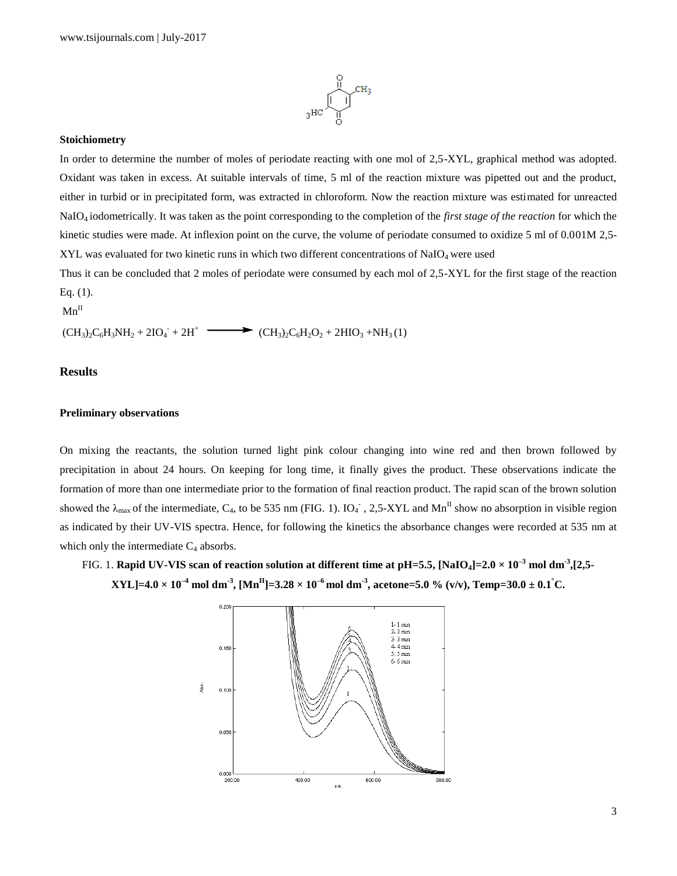

#### **Stoichiometry**

In order to determine the number of moles of periodate reacting with one mol of 2,5-XYL, graphical method was adopted. Oxidant was taken in excess. At suitable intervals of time, 5 ml of the reaction mixture was pipetted out and the product, either in turbid or in precipitated form, was extracted in chloroform. Now the reaction mixture was estimated for unreacted NaIO4 iodometrically. It was taken as the point corresponding to the completion of the *first stage of the reaction* for which the kinetic studies were made. At inflexion point on the curve, the volume of periodate consumed to oxidize 5 ml of 0.001M 2,5- $XYL$  was evaluated for two kinetic runs in which two different concentrations of NaIO<sub>4</sub> were used

Thus it can be concluded that 2 moles of periodate were consumed by each mol of 2,5-XYL for the first stage of the reaction Eq. (1).

 $Mn^II$ 

 $(CH_3)_2C_6H_3NH_2 + 2IO_4 + 2H^+$   $\longrightarrow$   $(CH_3)_2C_6H_2O_2 + 2HIO_3 + NH_3(1)$ 

# **Results**

# **Preliminary observations**

On mixing the reactants, the solution turned light pink colour changing into wine red and then brown followed by precipitation in about 24 hours. On keeping for long time, it finally gives the product. These observations indicate the formation of more than one intermediate prior to the formation of final reaction product. The rapid scan of the brown solution showed the  $\lambda_{\text{max}}$  of the intermediate, C<sub>4</sub>, to be 535 nm (FIG. 1). IO<sub>4</sub><sup>-</sup>, 2,5-XYL and Mn<sup>II</sup> show no absorption in visible region as indicated by their UV-VIS spectra. Hence, for following the kinetics the absorbance changes were recorded at 535 nm at which only the intermediate  $C_4$  absorbs.

FIG. 1. **Rapid UV-VIS scan of reaction solution at different time at pH=5.5, [NaIO4]=2.0 × 10–3 mol dm-3 ,[2,5-**  $\bf XYL$ ]=4.0  $\times$   $10^{-4}$  mol dm  $^3$ ,  $\bf [Mn^H]$ =3.28  $\times$   $10^{-6}$  mol dm  $^3$ , acetone=5.0 % (v/v), Temp=30.0  $\pm$  0.1  $\rm ^{\circ}$ C.

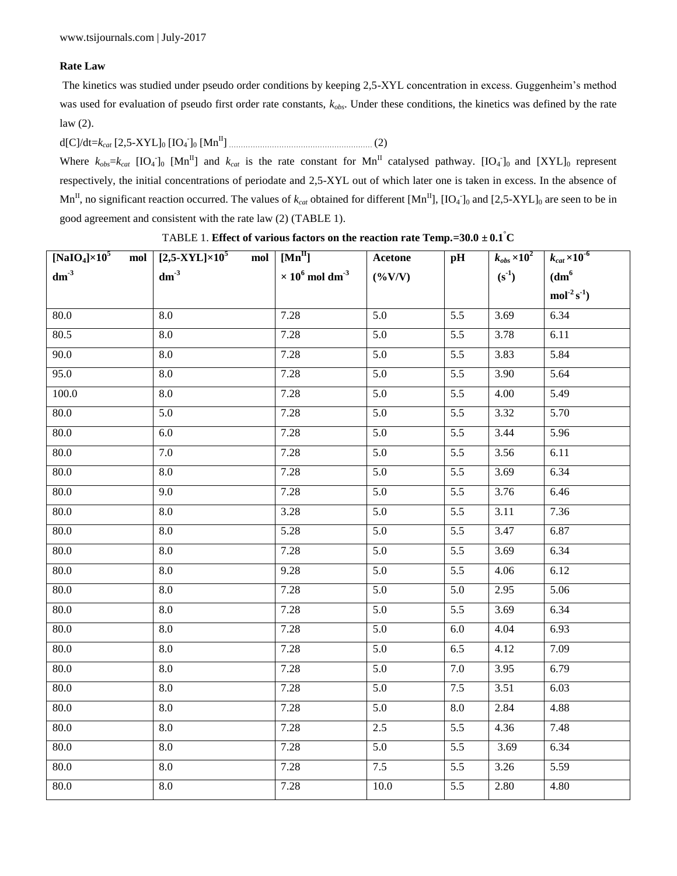# **Rate Law**

The kinetics was studied under pseudo order conditions by keeping 2,5-XYL concentration in excess. Guggenheim's method was used for evaluation of pseudo first order rate constants, *kobs*. Under these conditions, the kinetics was defined by the rate law (2).

d[C]/dt=*kcat* [2,5-XYL]<sup>0</sup> [IO<sup>4</sup> - ]<sup>0</sup> [MnII] …………………………………………………… (2)

Where  $k_{obs} = k_{cat}$  [IO<sub>4</sub><sup>-</sup>]<sub>0</sub> [Mn<sup>II</sup>] and  $k_{cat}$  is the rate constant for Mn<sup>II</sup> catalysed pathway. [IO<sub>4</sub><sup>-</sup>]<sub>0</sub> and [XYL]<sub>0</sub> represent respectively, the initial concentrations of periodate and 2,5-XYL out of which later one is taken in excess. In the absence of  $Mn<sup>H</sup>$ , no significant reaction occurred. The values of  $k_{cat}$  obtained for different  $[Mn<sup>H</sup>]$ ,  $[IO<sub>4</sub>]<sub>0</sub>$  and  $[2,5-XYL]$ <sub>0</sub> are seen to be in good agreement and consistent with the rate law (2) (TABLE 1).

TABLE 1. **Effect of various factors on the reaction rate Temp.=30.0**  $\pm$  **0.1<sup>°</sup>C** 

|        | [NaIO <sub>4</sub> ] $\times$ 10 <sup>5</sup> mol [2,5-XYL] $\times$ 10 <sup>5</sup> mol | $[Mn^II]$                                     | Acetone          | pH               | $k_{obs}\times10^2$ | $k_{cat} \times 10^{-6}$ |
|--------|------------------------------------------------------------------------------------------|-----------------------------------------------|------------------|------------------|---------------------|--------------------------|
| $dm-3$ | dm <sup>3</sup>                                                                          | $\times$ 10 <sup>6</sup> mol dm <sup>-3</sup> | $(\%V/V)$        |                  | $(s^{-1})$          | dm <sup>6</sup>          |
|        |                                                                                          |                                               |                  |                  |                     | $mol-2 s-1$              |
| 80.0   | 8.0                                                                                      | 7.28                                          | 5.0              | 5.5              | 3.69                | 6.34                     |
| 80.5   | 8.0                                                                                      | 7.28                                          | $\overline{5.0}$ | $\overline{5.5}$ | 3.78                | 6.11                     |
| 90.0   | 8.0                                                                                      | 7.28                                          | 5.0              | 5.5              | 3.83                | 5.84                     |
| 95.0   | $8.0\,$                                                                                  | 7.28                                          | $\overline{5.0}$ | 5.5              | 3.90                | 5.64                     |
| 100.0  | 8.0                                                                                      | 7.28                                          | 5.0              | $\overline{5.5}$ | 4.00                | 5.49                     |
| 80.0   | 5.0                                                                                      | 7.28                                          | 5.0              | 5.5              | 3.32                | 5.70                     |
| 80.0   | $6.0\,$                                                                                  | 7.28                                          | $\overline{5.0}$ | 5.5              | 3.44                | 5.96                     |
| 80.0   | 7.0                                                                                      | 7.28                                          | 5.0              | $\overline{5.5}$ | 3.56                | 6.11                     |
| 80.0   | 8.0                                                                                      | 7.28                                          | 5.0              | 5.5              | 3.69                | 6.34                     |
| 80.0   | 9.0                                                                                      | 7.28                                          | $\overline{5.0}$ | 5.5              | $\frac{1}{3.76}$    | 6.46                     |
| 80.0   | 8.0                                                                                      | 3.28                                          | 5.0              | $\overline{5.5}$ | 3.11                | 7.36                     |
| 80.0   | 8.0                                                                                      | 5.28                                          | 5.0              | 5.5              | 3.47                | 6.87                     |
| 80.0   | $8.0\,$                                                                                  | 7.28                                          | $\overline{5.0}$ | 5.5              | 3.69                | 6.34                     |
| 80.0   | 8.0                                                                                      | 9.28                                          | $\overline{5.0}$ | 5.5              | 4.06                | 6.12                     |
| 80.0   | 8.0                                                                                      | 7.28                                          | $\overline{5.0}$ | 5.0              | 2.95                | 5.06                     |
| 80.0   | $\ \, 8.0$                                                                               | 7.28                                          | $\overline{5.0}$ | 5.5              | 3.69                | 6.34                     |
| 80.0   | $\overline{8.0}$                                                                         | 7.28                                          | 5.0              | $6.0\,$          | 4.04                | 6.93                     |
| 80.0   | 8.0                                                                                      | 7.28                                          | 5.0              | 6.5              | 4.12                | 7.09                     |
| 80.0   | $\ \, 8.0$                                                                               | 7.28                                          | $\overline{5.0}$ | 7.0              | 3.95                | 6.79                     |
| 80.0   | $\overline{8.0}$                                                                         | 7.28                                          | 5.0              | 7.5              | 3.51                | 6.03                     |
| 80.0   | 8.0                                                                                      | 7.28                                          | 5.0              | 8.0              | 2.84                | 4.88                     |
| 80.0   | $\ \, 8.0$                                                                               | 7.28                                          | 2.5              | 5.5              | 4.36                | 7.48                     |
| 80.0   | 8.0                                                                                      | 7.28                                          | 5.0              | 5.5              | 3.69                | 6.34                     |
| 80.0   | $8.0\,$                                                                                  | 7.28                                          | 7.5              | $\overline{5.5}$ | 3.26                | 5.59                     |
| 80.0   | 8.0                                                                                      | 7.28                                          | 10.0             | 5.5              | 2.80                | 4.80                     |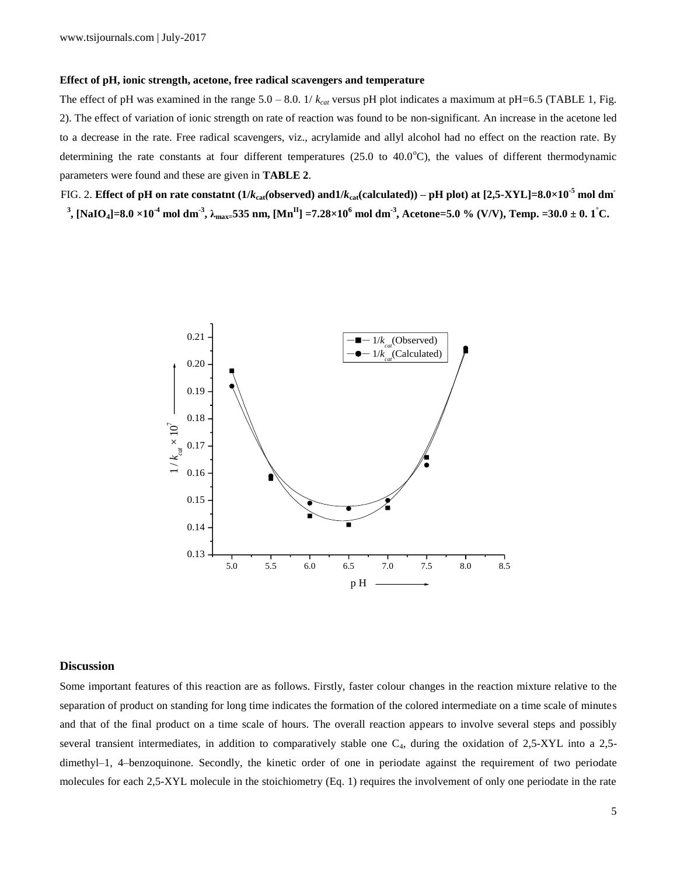#### **Effect of pH, ionic strength, acetone, free radical scavengers and temperature**

The effect of pH was examined in the range  $5.0 - 8.0$ . 1/ $k_{cat}$  versus pH plot indicates a maximum at pH=6.5 (TABLE 1, Fig. 2). The effect of variation of ionic strength on rate of reaction was found to be non-significant. An increase in the acetone led to a decrease in the rate. Free radical scavengers, viz., acrylamide and allyl alcohol had no effect on the reaction rate. By determining the rate constants at four different temperatures (25.0 to 40.0 $^{\circ}$ C), the values of different thermodynamic parameters were found and these are given in **TABLE 2**.

FIG. 2. Effect of pH on rate constatnt (1/*k*<sub>cat</sub>(observed) and1/*k*<sub>cat</sub>(calculated)) – pH plot) at [2,5-XYL]=8.0×10<sup>-5</sup> mol dm<sup>-</sup>  $^3$ , [NaIO<sub>4</sub>]=8.0  $\times10^{4}$  mol dm  $^3$ ,  $\lambda_{\rm max}$ =535 nm, [Mn  $^{\rm II}$ ] =7.28 $\times10^{6}$  mol dm  $^3$ , Acetone=5.0 % (V/V), Temp. =30.0 ± 0. 1 °C.



# **Discussion**

Some important features of this reaction are as follows. Firstly, faster colour changes in the reaction mixture relative to the separation of product on standing for long time indicates the formation of the colored intermediate on a time scale of minutes and that of the final product on a time scale of hours. The overall reaction appears to involve several steps and possibly several transient intermediates, in addition to comparatively stable one  $C_4$ , during the oxidation of 2,5-XYL into a 2,5dimethyl-1, 4-benzoquinone. Secondly, the kinetic order of one in periodate against the requirement of two periodate molecules for each 2,5-XYL molecule in the stoichiometry (Eq. 1) requires the involvement of only one periodate in the rate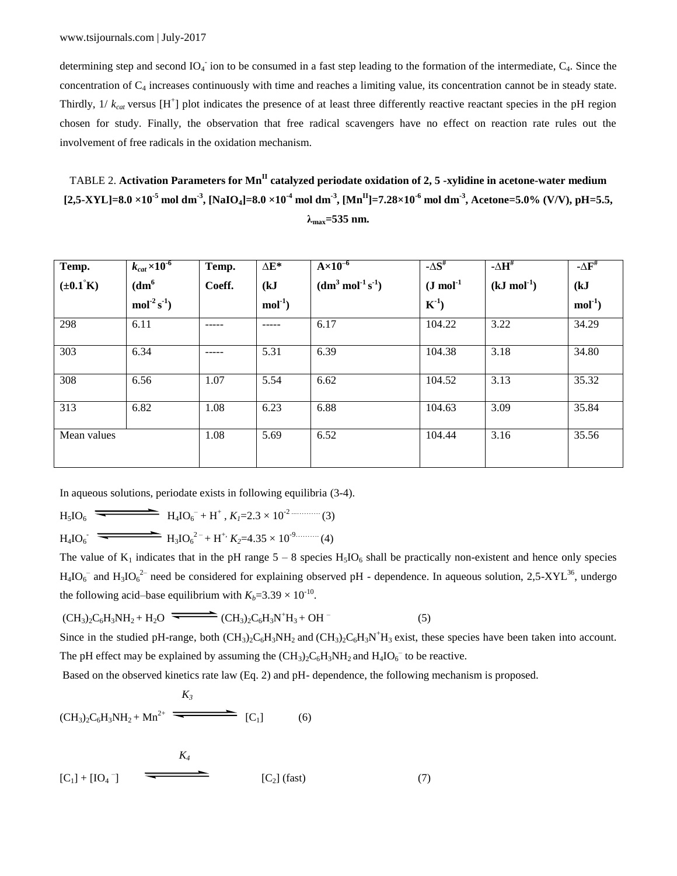determining step and second  $IO_4^-$  ion to be consumed in a fast step leading to the formation of the intermediate,  $C_4$ . Since the concentration of C<sup>4</sup> increases continuously with time and reaches a limiting value, its concentration cannot be in steady state. Thirdly,  $1/k_{cat}$  versus  $[H^+]$  plot indicates the presence of at least three differently reactive reactant species in the pH region chosen for study. Finally, the observation that free radical scavengers have no effect on reaction rate rules out the involvement of free radicals in the oxidation mechanism.

TABLE 2. **Activation Parameters for MnII catalyzed periodate oxidation of 2, 5 -xylidine in acetone-water medium** [2,5-XYL]=8.0 ×10<sup>-5</sup> mol dm<sup>-3</sup>, [NaIO<sub>4</sub>]=8.0 ×10<sup>-4</sup> mol dm<sup>-3</sup>, [Mn<sup>II</sup>]=7.28×10<sup>-6</sup> mol dm<sup>-3</sup>, Acetone=5.0% (V/V), pH=5.5, **λmax=535 nm.**

| Temp.                 | $k_{cat}$ $\times 10^{-6}$ | Temp.  | $\Delta E^*$ | $A \times 10^{-6}$ | $-\Delta S^{\#}$ | - $\Delta \mathbf{H}^{\text{\#}}$ | $-\Delta F$ <sup>#</sup> |
|-----------------------|----------------------------|--------|--------------|--------------------|------------------|-----------------------------------|--------------------------|
| $(\pm 0.1^{\circ} K)$ | dm <sup>6</sup>            | Coeff. | (kJ)         | $(dm3 mol-1 s-1)$  | $(J \mod 1)$     | $(kJ \mod 1)$                     | (kJ)                     |
|                       | $mol-2 s-1$                |        | $mol-1$      |                    | $K^{-1}$         |                                   | $mol-1$                  |
| 298                   | 6.11                       |        |              | 6.17               | 104.22           | 3.22                              | 34.29                    |
| 303                   | 6.34                       |        | 5.31         | 6.39               | 104.38           | 3.18                              | 34.80                    |
| 308                   | 6.56                       | 1.07   | 5.54         | 6.62               | 104.52           | 3.13                              | 35.32                    |
| 313                   | 6.82                       | 1.08   | 6.23         | 6.88               | 104.63           | 3.09                              | 35.84                    |
| Mean values           |                            | 1.08   | 5.69         | 6.52               | 104.44           | 3.16                              | 35.56                    |

In aqueous solutions, periodate exists in following equilibria (3-4).

$$
H_3IO_6 \xrightarrow{\bullet} H_4IO_6^- + H^+, K_I = 2.3 \times 10^{-2} \text{ (3)}
$$
  
\n
$$
H_4IO_6^- \xrightarrow{\bullet} H_3IO_6^{2-} + H^+, K_2 = 4.35 \times 10^{-9} \text{ (4)}
$$

The value of  $K_1$  indicates that in the pH range  $5 - 8$  species  $H_5IO_6$  shall be practically non-existent and hence only species  $H_4IO_6^-$  and  $H_3IO_6^{2-}$  need be considered for explaining observed pH - dependence. In aqueous solution, 2,5-XYL<sup>36</sup>, undergo the following acid–base equilibrium with  $K_b = 3.39 \times 10^{-10}$ .

 $(CH_3)_2C_6H_3NH_2 + H_2O \rightarrow CH_3)_2C_6H_3N^+H_3 + OH^-$ (5)

Since in the studied pH-range, both  $(CH_3)_2C_6H_3NH_2$  and  $(CH_3)_2C_6H_3N^+H_3$  exist, these species have been taken into account. The pH effect may be explained by assuming the  $(CH_3)_2C_6H_3NH_2$  and  $H_4IO_6^-$  to be reactive.

Based on the observed kinetics rate law (Eq. 2) and pH- dependence, the following mechanism is proposed.

$$
K_3
$$
\n
$$
(CH_3)_2C_6H_3NH_2 + Mn^{2+} \xrightarrow{\text{K}_3} [C_1]
$$
\n(6)

$$
K_4
$$
\n
$$
[C_1] + [IO_4^-]
$$
\n
$$
(7)
$$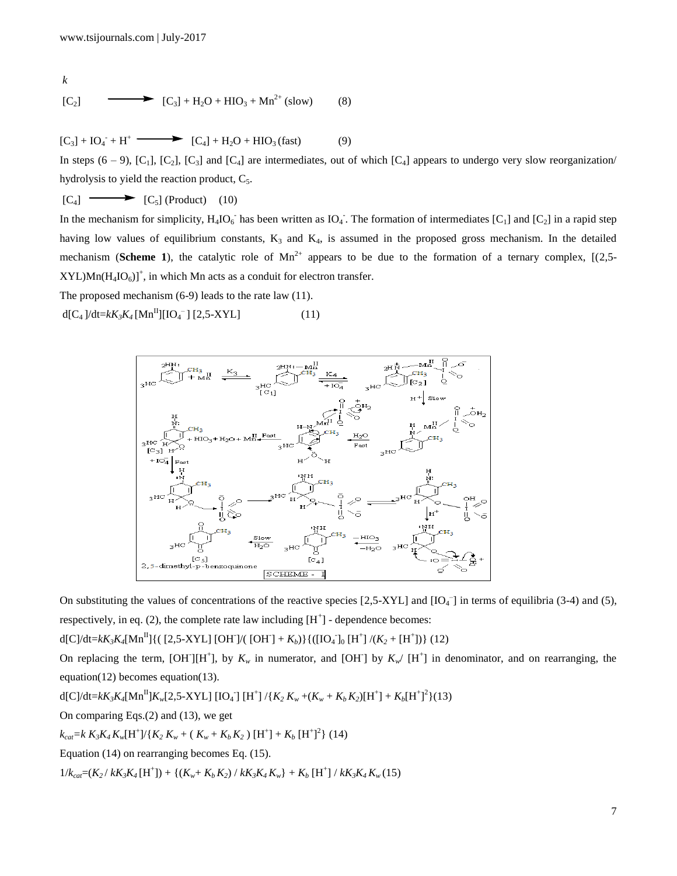$$
k
$$
  
\n[C<sub>2</sub>]  
\n $[\text{C}_3] + \text{H}_2\text{O} + \text{HIO}_3 + \text{Mn}^{2+} \text{(slow)}$  (8)

 $[C_3] + IO_4 + H^+$   $\longrightarrow$   $[C_4] + H_2O + HIO_3$  (fast) (9)

In steps  $(6 - 9)$ ,  $[C_1]$ ,  $[C_2]$ ,  $[C_3]$  and  $[C_4]$  are intermediates, out of which  $[C_4]$  appears to undergo very slow reorganization/ hydrolysis to yield the reaction product,  $C_5$ .

 $[C_4] \longrightarrow [C_5]$  (Product) (10)

In the mechanism for simplicity,  $H_4 IO_6^-$  has been written as  $IO_4^-$ . The formation of intermediates  $[C_1]$  and  $[C_2]$  in a rapid step having low values of equilibrium constants,  $K_3$  and  $K_4$ , is assumed in the proposed gross mechanism. In the detailed mechanism (**Scheme 1**), the catalytic role of  $Mn^{2+}$  appears to be due to the formation of a ternary complex,  $[(2,5 XYL$ ) $Mn(H_4IO_6)$ <sup>+</sup>, in which Mn acts as a conduit for electron transfer.

The proposed mechanism (6-9) leads to the rate law (11).

 $d[C_4]/dt = kK_3K_4[Mn^H][IO_4^-] [2,5-XYL]$  (11)



On substituting the values of concentrations of the reactive species  $[2,5-XYL]$  and  $[IO_4^-]$  in terms of equilibria (3-4) and (5), respectively, in eq.  $(2)$ , the complete rate law including  $[H^+]$  - dependence becomes:

d[C]/dt=kK<sub>3</sub>K<sub>4</sub>[Mn<sup>II</sup>]{( [2,5-XYL] [OH`]/( [OH`] + K<sub>b</sub>)}{([IO<sub>4</sub><sup>-</sup>]<sub>0</sub> [H<sup>+</sup>]/(K<sub>2</sub> + [H<sup>+</sup>])} (12)

On replacing the term,  $[OH][H^+]$ , by  $K_w$  in numerator, and  $[OH]$  by  $K_w/ [H^+]$  in denominator, and on rearranging, the equation(12) becomes equation(13).

 $d[C]/dt = kK_3K_4[{\rm Mn}^{\rm II}]K_{w}[2,5-X{\rm YL}]$   $[{\rm IO}_4^-]$   $[{\rm H}^+]$  /{ $K_2\,K_{w}$  +( $K_{w}+K_{b}K_{2})[{\rm H}^+] + K_{b}[{\rm H}^+]^2\}$ (13)

On comparing Eqs.(2) and (13), we get

 $k_{cat} = k K_3 K_4 K_w [H^+]/\{K_2 K_w + (K_w + K_b K_2) [H^+] + K_b [H^+]^2\}$  (14)

Equation (14) on rearranging becomes Eq. (15).

 $1/k_{car} = (K_2 / kK_3 K_4 [\text{H}^+]) + \{(K_w + K_b K_2) / kK_3 K_4 K_w\} + K_b [\text{H}^+] / kK_3 K_4 K_w (15)$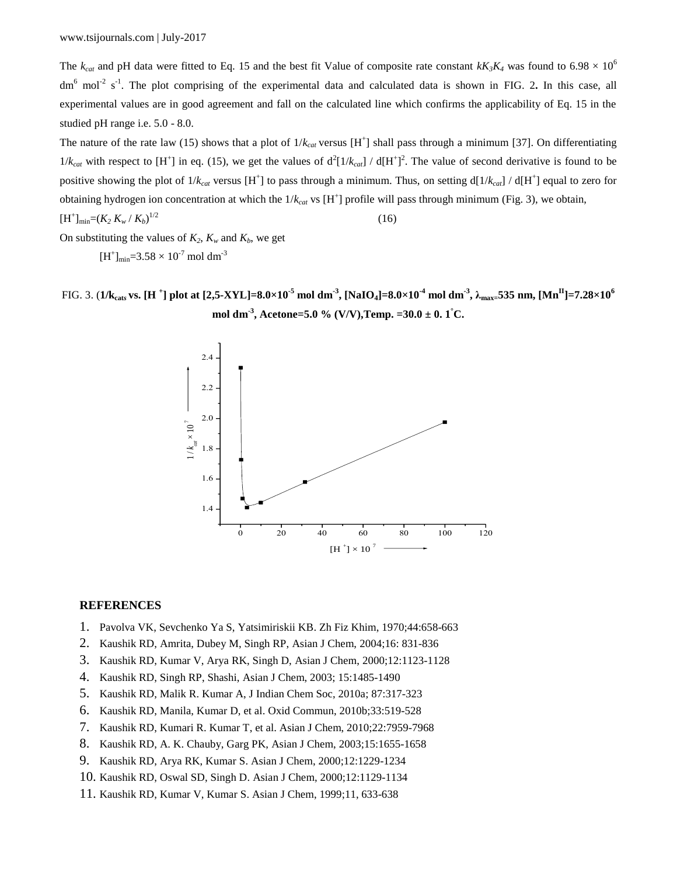The  $k_{cat}$  and pH data were fitted to Eq. 15 and the best fit Value of composite rate constant  $kK_3K_4$  was found to 6.98  $\times$  10<sup>6</sup> dm<sup>6</sup> mol<sup>-2</sup> s<sup>-1</sup>. The plot comprising of the experimental data and calculated data is shown in FIG. 2. In this case, all experimental values are in good agreement and fall on the calculated line which confirms the applicability of Eq. 15 in the studied pH range i.e. 5.0 - 8.0.

The nature of the rate law (15) shows that a plot of  $1/k_{cat}$  versus  $[H^+]$  shall pass through a minimum [37]. On differentiating  $1/k_{cat}$  with respect to [H<sup>+</sup>] in eq. (15), we get the values of  $d^2[1/k_{cat}] / d[H^+]^2$ . The value of second derivative is found to be positive showing the plot of  $1/k_{cat}$  versus [H<sup>+</sup>] to pass through a minimum. Thus, on setting  $d[1/k_{cat}]$  /  $d[H^+]$  equal to zero for obtaining hydrogen ion concentration at which the  $1/k_{cat}$  vs [H<sup>+</sup>] profile will pass through minimum (Fig. 3), we obtain,  $[H^+]_{min} = (K_2 K_w / K_b)$  $1/2$  (16)

On substituting the values of  $K_2$ ,  $K_w$  and  $K_b$ , we get

 $[H^+]_{min} = 3.58 \times 10^{-7}$  mol dm<sup>-3</sup>

FIG. 3. (1/k<sub>cats</sub> vs. [H <sup>+</sup>] plot at [2,5-XYL]=8.0×10<sup>-5</sup> mol dm<sup>-3</sup>, [NaIO<sub>4</sub>]=8.0×10<sup>-4</sup> mol dm<sup>-3</sup>,  $\lambda_{\rm max}$ =535 nm, [Mn<sup>II</sup>]=7.28×10<sup>6</sup> **mol dm-3 , Acetone=5.0 % (V/V),Temp. =30.0 ± 0. 1°C.**



# **REFERENCES**

- 1. Pavolva VK, Sevchenko Ya S, Yatsimiriskii KB. Zh Fiz Khim, 1970;44:658-663
- 2. Kaushik RD, Amrita, Dubey M, Singh RP, Asian J Chem, 2004;16: 831-836
- 3. Kaushik RD, Kumar V, Arya RK, Singh D, Asian J Chem, 2000;12:1123-1128
- 4. Kaushik RD, Singh RP, Shashi, Asian J Chem, 2003; 15:1485-1490
- 5. Kaushik RD, Malik R. Kumar A, J Indian Chem Soc, 2010a; 87:317-323
- 6. Kaushik RD, Manila, Kumar D, et al. Oxid Commun, 2010b;33:519-528
- 7. Kaushik RD, Kumari R. Kumar T, et al. Asian J Chem, 2010;22:7959-7968
- 8. Kaushik RD, A. K. Chauby, Garg PK, Asian J Chem, 2003;15:1655-1658
- 9. Kaushik RD, Arya RK, Kumar S. Asian J Chem, 2000;12:1229-1234
- 10. Kaushik RD, Oswal SD, Singh D. Asian J Chem, 2000;12:1129-1134
- 11. Kaushik RD, Kumar V, Kumar S. Asian J Chem, 1999;11, 633-638